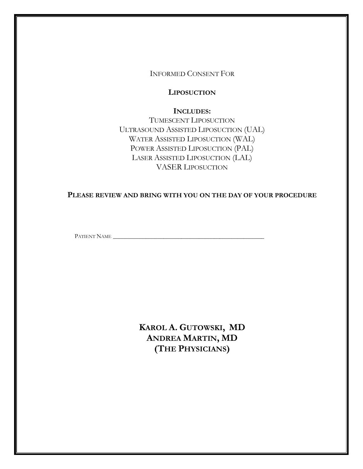INFORMED CONSENT FOR

**LIPOSUCTION**

**INCLUDES:** TUMESCENT LIPOSUCTION ULTRASOUND ASSISTED LIPOSUCTION (UAL) WATER ASSISTED LIPOSUCTION (WAL) POWER ASSISTED LIPOSUCTION (PAL) LASER ASSISTED LIPOSUCTION (LAL) VASER LIPOSUCTION

**PLEASE REVIEW AND BRING WITH YOU ON THE DAY OF YOUR PROCEDURE**

PATIENT NAME \_\_\_\_\_\_\_\_\_\_\_\_\_\_\_\_\_\_\_\_\_\_\_\_\_\_\_\_\_\_\_\_\_\_\_\_\_\_\_\_\_\_\_\_\_\_\_\_\_\_\_

**KAROL A. GUTOWSKI, MD ANDREA MARTIN, MD (THE PHYSICIANS)**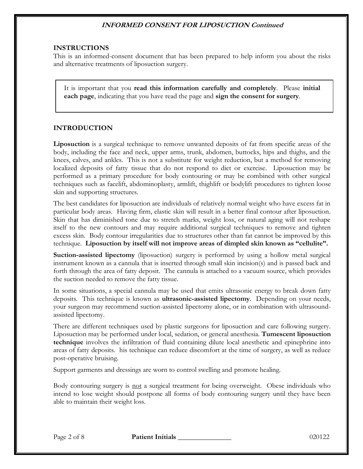#### **INSTRUCTIONS**

This is an informed-consent document that has been prepared to help inform you about the risks and alternative treatments of liposuction surgery.

It is important that you **read this information carefully and completely**. Please **initial each page**, indicating that you have read the page and **sign the consent for surgery**.

#### **INTRODUCTION**

**Liposuction** is a surgical technique to remove unwanted deposits of fat from specific areas of the body, including the face and neck, upper arms, trunk, abdomen, buttocks, hips and thighs, and the knees, calves, and ankles. This is not a substitute for weight reduction, but a method for removing localized deposits of fatty tissue that do not respond to diet or exercise. Liposuction may be performed as a primary procedure for body contouring or may be combined with other surgical techniques such as facelift, abdominoplasty, armlift, thighlift or bodylift procedures to tighten loose skin and supporting structures.

The best candidates for liposuction are individuals of relatively normal weight who have excess fat in particular body areas. Having firm, elastic skin will result in a better final contour after liposuction. Skin that has diminished tone due to stretch marks, weight loss, or natural aging will not reshape itself to the new contours and may require additional surgical techniques to remove and tighten excess skin. Body contour irregularities due to structures other than fat cannot be improved by this technique. **Liposuction by itself will not improve areas of dimpled skin known as "cellulite".**

**Suction-assisted lipectomy** (liposuction) surgery is performed by using a hollow metal surgical instrument known as a cannula that is inserted through small skin incision(s) and is passed back and forth through the area of fatty deposit. The cannula is attached to a vacuum source, which provides the suction needed to remove the fatty tissue.

In some situations, a special cannula may be used that emits ultrasonic energy to break down fatty deposits. This technique is known as **ultrasonic-assisted lipectomy**. Depending on your needs, your surgeon may recommend suction-assisted lipectomy alone, or in combination with ultrasoundassisted lipectomy.

There are different techniques used by plastic surgeons for liposuction and care following surgery. Liposuction may be performed under local, sedation, or general anesthesia. **Tumescent liposuction technique** involves the infiltration of fluid containing dilute local anesthetic and epinephrine into areas of fatty deposits. his technique can reduce discomfort at the time of surgery, as well as reduce post-operative bruising.

Support garments and dressings are worn to control swelling and promote healing.

Body contouring surgery is not a surgical treatment for being overweight. Obese individuals who intend to lose weight should postpone all forms of body contouring surgery until they have been able to maintain their weight loss.

Page 2 of 8 **Patient Initials 1996 Patient Initials** 200122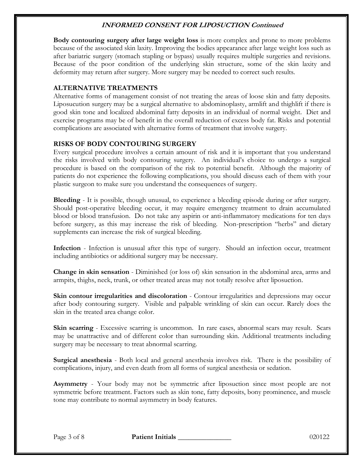**Body contouring surgery after large weight loss** is more complex and prone to more problems because of the associated skin laxity. Improving the bodies appearance after large weight loss such as after bariatric surgery (stomach stapling or bypass) usually requires multiple surgeries and revisions. Because of the poor condition of the underlying skin structure, some of the skin laxity and deformity may return after surgery. More surgery may be needed to correct such results.

# **ALTERNATIVE TREATMENTS**

Alternative forms of management consist of not treating the areas of loose skin and fatty deposits. Liposucution surgery may be a surgical alternative to abdominoplasty, armlift and thighlift if there is good skin tone and localized abdominal fatty deposits in an individual of normal weight. Diet and exercise programs may be of benefit in the overall reduction of excess body fat. Risks and potential complications are associated with alternative forms of treatment that involve surgery.

# **RISKS OF BODY CONTOURING SURGERY**

Every surgical procedure involves a certain amount of risk and it is important that you understand the risks involved with body contouring surgery. An individual's choice to undergo a surgical procedure is based on the comparison of the risk to potential benefit. Although the majority of patients do not experience the following complications, you should discuss each of them with your plastic surgeon to make sure you understand the consequences of surgery.

**Bleeding** - It is possible, though unusual, to experience a bleeding episode during or after surgery. Should post-operative bleeding occur, it may require emergency treatment to drain accumulated blood or blood transfusion. Do not take any aspirin or anti-inflammatory medications for ten days before surgery, as this may increase the risk of bleeding. Non-prescription "herbs" and dietary supplements can increase the risk of surgical bleeding.

**Infection** - Infection is unusual after this type of surgery. Should an infection occur, treatment including antibiotics or additional surgery may be necessary.

**Change in skin sensation** - Diminished (or loss of) skin sensation in the abdominal area, arms and armpits, thighs, neck, trunk, or other treated areas may not totally resolve after liposuction.

**Skin contour irregularities and discoloration** - Contour irregularities and depressions may occur after body contouring surgery. Visible and palpable wrinkling of skin can occur. Rarely does the skin in the treated area change color.

**Skin scarring** - Excessive scarring is uncommon. In rare cases, abnormal scars may result. Scars may be unattractive and of different color than surrounding skin. Additional treatments including surgery may be necessary to treat abnormal scarring.

**Surgical anesthesia** - Both local and general anesthesia involves risk. There is the possibility of complications, injury, and even death from all forms of surgical anesthesia or sedation.

**Asymmetry** - Your body may not be symmetric after liposuction since most people are not symmetric before treatment. Factors such as skin tone, fatty deposits, bony prominence, and muscle tone may contribute to normal asymmetry in body features.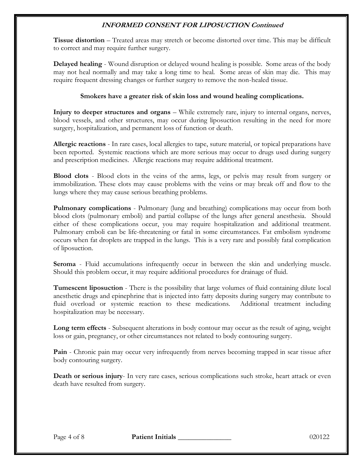**Tissue distortion** – Treated areas may stretch or become distorted over time. This may be difficult to correct and may require further surgery.

**Delayed healing** - Wound disruption or delayed wound healing is possible. Some areas of the body may not heal normally and may take a long time to heal. Some areas of skin may die. This may require frequent dressing changes or further surgery to remove the non-healed tissue.

### **Smokers have a greater risk of skin loss and wound healing complications.**

**Injury to deeper structures and organs** – While extremely rare, injury to internal organs, nerves, blood vessels, and other structures, may occur during liposuction resulting in the need for more surgery, hospitalization, and permanent loss of function or death.

**Allergic reactions** - In rare cases, local allergies to tape, suture material, or topical preparations have been reported. Systemic reactions which are more serious may occur to drugs used during surgery and prescription medicines. Allergic reactions may require additional treatment.

**Blood clots** - Blood clots in the veins of the arms, legs, or pelvis may result from surgery or immobilization. These clots may cause problems with the veins or may break off and flow to the lungs where they may cause serious breathing problems.

**Pulmonary complications** - Pulmonary (lung and breathing) complications may occur from both blood clots (pulmonary emboli) and partial collapse of the lungs after general anesthesia. Should either of these complications occur, you may require hospitalization and additional treatment. Pulmonary emboli can be life-threatening or fatal in some circumstances. Fat embolism syndrome occurs when fat droplets are trapped in the lungs. This is a very rare and possibly fatal complication of liposuction.

**Seroma** - Fluid accumulations infrequently occur in between the skin and underlying muscle. Should this problem occur, it may require additional procedures for drainage of fluid.

**Tumescent liposuction** - There is the possibility that large volumes of fluid containing dilute local anesthetic drugs and epinephrine that is injected into fatty deposits during surgery may contribute to fluid overload or systemic reaction to these medications. Additional treatment including hospitalization may be necessary.

**Long term effects** - Subsequent alterations in body contour may occur as the result of aging, weight loss or gain, pregnancy, or other circumstances not related to body contouring surgery.

**Pain** - Chronic pain may occur very infrequently from nerves becoming trapped in scar tissue after body contouring surgery.

**Death or serious injury**- In very rare cases, serious complications such stroke, heart attack or even death have resulted from surgery.

Page 4 of 8 **Patient Initials 1996 Page 4 of 8** 020122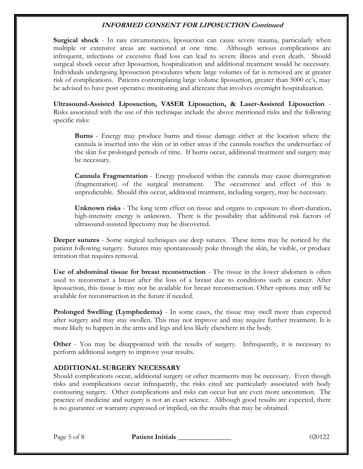**Surgical shock** - In rare circumstances, liposuction can cause severe trauma, particularly when multiple or extensive areas are suctioned at one time. Although serious complications are infrequent, infections or excessive fluid loss can lead to severe illness and even death. Should surgical shock occur after liposuction, hospitalization and additional treatment would be necessary. Individuals undergoing liposuction procedures where large volumes of fat is removed are at greater risk of complications. Patients contemplating large volume liposuction, greater than 5000 cc's, may be advised to have post operative monitoring and aftercare that involves overnight hospitalization.

**Ultrasound-Assisted Liposuction, VASER Liposuction, & Laser-Assisted Liposuction** - Risks associated with the use of this technique include the above mentioned risks and the following specific risks:

**Burns** - Energy may produce burns and tissue damage either at the location where the cannula is inserted into the skin or in other areas if the cannula touches the undersurface of the skin for prolonged periods of time. If burns occur, additional treatment and surgery may be necessary.

**Cannula Fragmentation** - Energy produced within the cannula may cause disintegration (fragmentation) of the surgical instrument. The occurrence and effect of this is unpredictable. Should this occur, additional treatment, including surgery, may be necessary.

**Unknown risks** - The long term effect on tissue and organs to exposure to short-duration, high-intensity energy is unknown. There is the possibility that additional risk factors of ultrasound-assisted lipectomy may be discovered.

**Deeper sutures** - Some surgical techniques use deep sutures. These items may be noticed by the patient following surgery. Sutures may spontaneously poke through the skin, be visible, or produce irritation that requires removal.

**Use of abdominal tissue for breast reconstruction** - The tissue in the lower abdomen is often used to reconstruct a breast after the loss of a breast due to conditions such as cancer. After liposuction, this tissue is may not be available for breast reconstruction. Other options may still be available for reconstruction in the future if needed.

**Prolonged Swelling (Lymphedema)** - In some cases, the tissue may swell more than expected after surgery and may stay swollen. This may not improve and may require further treatment. It is more likely to happen in the arms and legs and less likely elsewhere in the body.

**Other** - You may be disappointed with the results of surgery. Infrequently, it is necessary to perform additional surgery to improve your results.

#### **ADDITIONAL SURGERY NECESSARY**

Should complications occur, additional surgery or other treatments may be necessary. Even though risks and complications occur infrequently, the risks cited are particularly associated with body contouring surgery. Other complications and risks can occur but are even more uncommon. The practice of medicine and surgery is not an exact science. Although good results are expected, there is no guarantee or warranty expressed or implied, on the results that may be obtained.

Page 5 of 8 **Patient Initials 1996 Page 5 of 8** 020122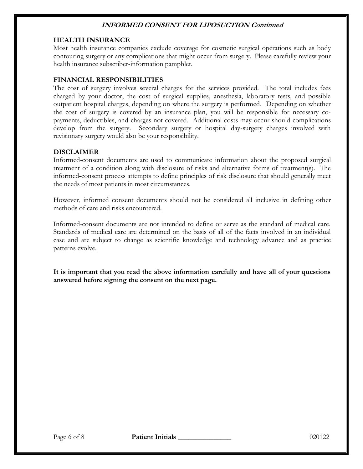#### **HEALTH INSURANCE**

Most health insurance companies exclude coverage for cosmetic surgical operations such as body contouring surgery or any complications that might occur from surgery. Please carefully review your health insurance subscriber-information pamphlet.

### **FINANCIAL RESPONSIBILITIES**

The cost of surgery involves several charges for the services provided. The total includes fees charged by your doctor, the cost of surgical supplies, anesthesia, laboratory tests, and possible outpatient hospital charges, depending on where the surgery is performed. Depending on whether the cost of surgery is covered by an insurance plan, you will be responsible for necessary copayments, deductibles, and charges not covered. Additional costs may occur should complications develop from the surgery. Secondary surgery or hospital day-surgery charges involved with revisionary surgery would also be your responsibility.

#### **DISCLAIMER**

Informed-consent documents are used to communicate information about the proposed surgical treatment of a condition along with disclosure of risks and alternative forms of treatment(s). The informed-consent process attempts to define principles of risk disclosure that should generally meet the needs of most patients in most circumstances.

However, informed consent documents should not be considered all inclusive in defining other methods of care and risks encountered.

Informed-consent documents are not intended to define or serve as the standard of medical care. Standards of medical care are determined on the basis of all of the facts involved in an individual case and are subject to change as scientific knowledge and technology advance and as practice patterns evolve.

**It is important that you read the above information carefully and have all of your questions answered before signing the consent on the next page.**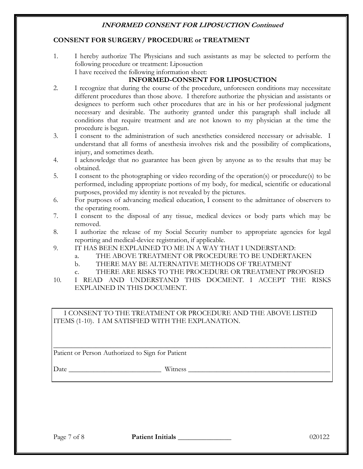### **CONSENT FOR SURGERY/ PROCEDURE or TREATMENT**

1. I hereby authorize The Physicians and such assistants as may be selected to perform the following procedure or treatment: Liposuction I have received the following information sheet:

# **INFORMED-CONSENT FOR LIPOSUCTION**

- 2. I recognize that during the course of the procedure, unforeseen conditions may necessitate different procedures than those above. I therefore authorize the physician and assistants or designees to perform such other procedures that are in his or her professional judgment necessary and desirable. The authority granted under this paragraph shall include all conditions that require treatment and are not known to my physician at the time the procedure is begun.
- 3. I consent to the administration of such anesthetics considered necessary or advisable. I understand that all forms of anesthesia involves risk and the possibility of complications, injury, and sometimes death.
- 4. I acknowledge that no guarantee has been given by anyone as to the results that may be obtained.
- 5. I consent to the photographing or video recording of the operation(s) or procedure(s) to be performed, including appropriate portions of my body, for medical, scientific or educational purposes, provided my identity is not revealed by the pictures.
- 6. For purposes of advancing medical education, I consent to the admittance of observers to the operating room.
- 7. I consent to the disposal of any tissue, medical devices or body parts which may be removed.
- 8. I authorize the release of my Social Security number to appropriate agencies for legal reporting and medical-device registration, if applicable.
- 9. IT HAS BEEN EXPLAINED TO ME IN A WAY THAT I UNDERSTAND:
	- a. THE ABOVE TREATMENT OR PROCEDURE TO BE UNDERTAKEN
	- b. THERE MAY BE ALTERNATIVE METHODS OF TREATMENT
	- c. THERE ARE RISKS TO THE PROCEDURE OR TREATMENT PROPOSED
- 10. I READ AND UNDERSTAND THIS DOCMENT. I ACCEPT THE RISKS EXPLAINED IN THIS DOCUMENT.

I CONSENT TO THE TREATMENT OR PROCEDURE AND THE ABOVE LISTED ITEMS (1-10). I AM SATISFIED WITH THE EXPLANATION.

\_\_\_\_\_\_\_\_\_\_\_\_\_\_\_\_\_\_\_\_\_\_\_\_\_\_\_\_\_\_\_\_\_\_\_\_\_\_\_\_\_\_\_\_\_\_\_\_\_\_\_\_\_\_\_\_\_\_\_\_\_\_\_\_\_\_\_\_\_\_\_\_\_\_\_\_\_\_ Patient or Person Authorized to Sign for Patient

Date Witness **Example 20** 

Page 7 of 8 **Patient Initials** 1020122